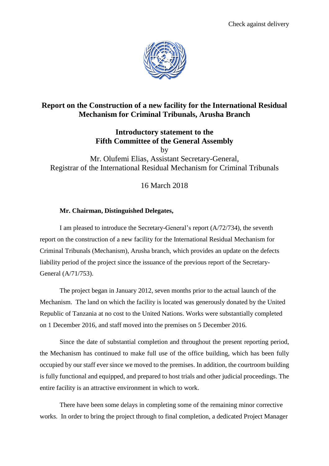

## **Report on the Construction of a new facility for the International Residual Mechanism for Criminal Tribunals, Arusha Branch**

**Introductory statement to the Fifth Committee of the General Assembly**

by

Mr. Olufemi Elias, Assistant Secretary-General, Registrar of the International Residual Mechanism for Criminal Tribunals

16 March 2018

## **Mr. Chairman, Distinguished Delegates,**

I am pleased to introduce the Secretary-General's report (A/72/734), the seventh report on the construction of a new facility for the International Residual Mechanism for Criminal Tribunals (Mechanism), Arusha branch, which provides an update on the defects liability period of the project since the issuance of the previous report of the Secretary-General (A/71/753).

The project began in January 2012, seven months prior to the actual launch of the Mechanism. The land on which the facility is located was generously donated by the United Republic of Tanzania at no cost to the United Nations. Works were substantially completed on 1 December 2016, and staff moved into the premises on 5 December 2016.

Since the date of substantial completion and throughout the present reporting period, the Mechanism has continued to make full use of the office building, which has been fully occupied by our staff ever since we moved to the premises. In addition, the courtroom building is fully functional and equipped, and prepared to host trials and other judicial proceedings. The entire facility is an attractive environment in which to work.

There have been some delays in completing some of the remaining minor corrective works. In order to bring the project through to final completion, a dedicated Project Manager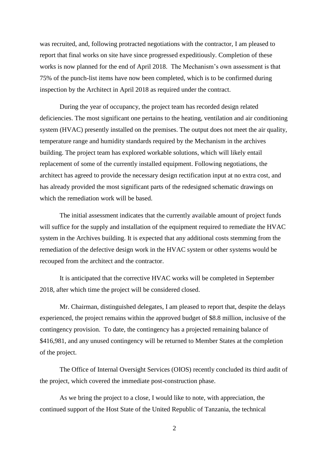was recruited, and, following protracted negotiations with the contractor, I am pleased to report that final works on site have since progressed expeditiously. Completion of these works is now planned for the end of April 2018. The Mechanism's own assessment is that 75% of the punch-list items have now been completed, which is to be confirmed during inspection by the Architect in April 2018 as required under the contract.

During the year of occupancy, the project team has recorded design related deficiencies. The most significant one pertains to the heating, ventilation and air conditioning system (HVAC) presently installed on the premises. The output does not meet the air quality, temperature range and humidity standards required by the Mechanism in the archives building. The project team has explored workable solutions, which will likely entail replacement of some of the currently installed equipment. Following negotiations, the architect has agreed to provide the necessary design rectification input at no extra cost, and has already provided the most significant parts of the redesigned schematic drawings on which the remediation work will be based.

The initial assessment indicates that the currently available amount of project funds will suffice for the supply and installation of the equipment required to remediate the HVAC system in the Archives building. It is expected that any additional costs stemming from the remediation of the defective design work in the HVAC system or other systems would be recouped from the architect and the contractor.

It is anticipated that the corrective HVAC works will be completed in September 2018, after which time the project will be considered closed.

Mr. Chairman, distinguished delegates, I am pleased to report that, despite the delays experienced, the project remains within the approved budget of \$8.8 million, inclusive of the contingency provision. To date, the contingency has a projected remaining balance of \$416,981, and any unused contingency will be returned to Member States at the completion of the project.

The Office of Internal Oversight Services (OIOS) recently concluded its third audit of the project, which covered the immediate post-construction phase.

As we bring the project to a close, I would like to note, with appreciation, the continued support of the Host State of the United Republic of Tanzania, the technical